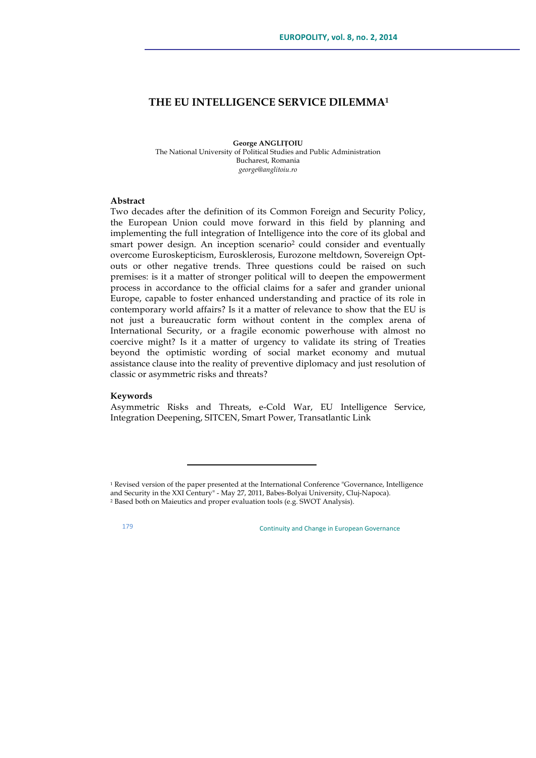# **THE EU INTELLIGENCE SERVICE DILEMMA1**

**George ANGLIȚOIU** The National University of Political Studies and Public Administration Bucharest, Romania *george@anglitoiu.ro*

### **Abstract**

Two decades after the definition of its Common Foreign and Security Policy, the European Union could move forward in this field by planning and implementing the full integration of Intelligence into the core of its global and smart power design. An inception scenario2 could consider and eventually overcome Euroskepticism, Eurosklerosis, Eurozone meltdown, Sovereign Optouts or other negative trends. Three questions could be raised on such premises: is it a matter of stronger political will to deepen the empowerment process in accordance to the official claims for a safer and grander unional Europe, capable to foster enhanced understanding and practice of its role in contemporary world affairs? Is it a matter of relevance to show that the EU is not just a bureaucratic form without content in the complex arena of International Security, or a fragile economic powerhouse with almost no coercive might? Is it a matter of urgency to validate its string of Treaties beyond the optimistic wording of social market economy and mutual assistance clause into the reality of preventive diplomacy and just resolution of classic or asymmetric risks and threats?

### **Keywords**

Asymmetric Risks and Threats, e-Cold War, EU Intelligence Service, Integration Deepening, SITCEN, Smart Power, Transatlantic Link

<u> 1989 - Johann Stein, fransk politik (d. 1989)</u>

<sup>&</sup>lt;sup>1</sup> Revised version of the paper presented at the International Conference "Governance, Intelligence and Security in the XXI Century" - May 27, 2011, Babes-Bolyai University, Cluj-Napoca). <sup>2</sup> Based both on Maieutics and proper evaluation tools (e.g. SWOT Analysis).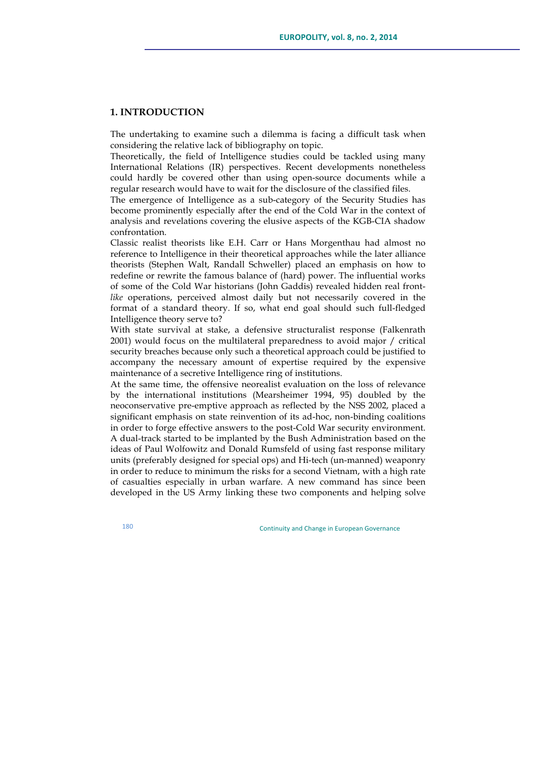# **1. INTRODUCTION**

The undertaking to examine such a dilemma is facing a difficult task when considering the relative lack of bibliography on topic.

Theoretically, the field of Intelligence studies could be tackled using many International Relations (IR) perspectives. Recent developments nonetheless could hardly be covered other than using open-source documents while a regular research would have to wait for the disclosure of the classified files.

The emergence of Intelligence as a sub-category of the Security Studies has become prominently especially after the end of the Cold War in the context of analysis and revelations covering the elusive aspects of the KGB-CIA shadow confrontation.

Classic realist theorists like E.H. Carr or Hans Morgenthau had almost no reference to Intelligence in their theoretical approaches while the later alliance theorists (Stephen Walt, Randall Schweller) placed an emphasis on how to redefine or rewrite the famous balance of (hard) power. The influential works of some of the Cold War historians (John Gaddis) revealed hidden real front*like* operations, perceived almost daily but not necessarily covered in the format of a standard theory. If so, what end goal should such full-fledged Intelligence theory serve to?

With state survival at stake, a defensive structuralist response (Falkenrath 2001) would focus on the multilateral preparedness to avoid major / critical security breaches because only such a theoretical approach could be justified to accompany the necessary amount of expertise required by the expensive maintenance of a secretive Intelligence ring of institutions.

At the same time, the offensive neorealist evaluation on the loss of relevance by the international institutions (Mearsheimer 1994, 95) doubled by the neoconservative pre-emptive approach as reflected by the NSS 2002, placed a significant emphasis on state reinvention of its ad-hoc, non-binding coalitions in order to forge effective answers to the post-Cold War security environment. A dual-track started to be implanted by the Bush Administration based on the ideas of Paul Wolfowitz and Donald Rumsfeld of using fast response military units (preferably designed for special ops) and Hi-tech (un-manned) weaponry in order to reduce to minimum the risks for a second Vietnam, with a high rate of casualties especially in urban warfare. A new command has since been developed in the US Army linking these two components and helping solve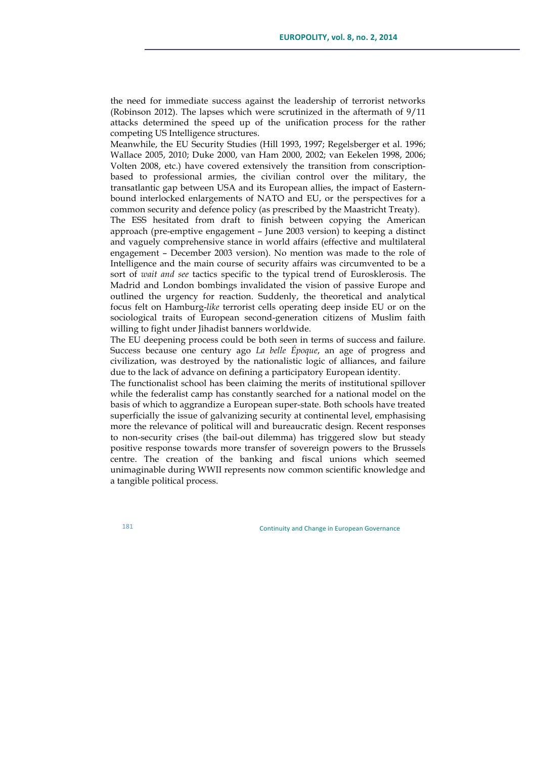the need for immediate success against the leadership of terrorist networks (Robinson 2012). The lapses which were scrutinized in the aftermath of 9/11 attacks determined the speed up of the unification process for the rather competing US Intelligence structures.

Meanwhile, the EU Security Studies (Hill 1993, 1997; Regelsberger et al. 1996; Wallace 2005, 2010; Duke 2000, van Ham 2000, 2002; van Eekelen 1998, 2006; Volten 2008, etc.) have covered extensively the transition from conscriptionbased to professional armies, the civilian control over the military, the transatlantic gap between USA and its European allies, the impact of Easternbound interlocked enlargements of NATO and EU, or the perspectives for a common security and defence policy (as prescribed by the Maastricht Treaty).

The ESS hesitated from draft to finish between copying the American approach (pre-emptive engagement – June 2003 version) to keeping a distinct and vaguely comprehensive stance in world affairs (effective and multilateral engagement – December 2003 version). No mention was made to the role of Intelligence and the main course of security affairs was circumvented to be a sort of *wait and see* tactics specific to the typical trend of Eurosklerosis. The Madrid and London bombings invalidated the vision of passive Europe and outlined the urgency for reaction. Suddenly, the theoretical and analytical focus felt on Hamburg-*like* terrorist cells operating deep inside EU or on the sociological traits of European second-generation citizens of Muslim faith willing to fight under Jihadist banners worldwide.

The EU deepening process could be both seen in terms of success and failure. Success because one century ago *La belle Époque*, an age of progress and civilization, was destroyed by the nationalistic logic of alliances, and failure due to the lack of advance on defining a participatory European identity.

The functionalist school has been claiming the merits of institutional spillover while the federalist camp has constantly searched for a national model on the basis of which to aggrandize a European super-state. Both schools have treated superficially the issue of galvanizing security at continental level, emphasising more the relevance of political will and bureaucratic design. Recent responses to non-security crises (the bail-out dilemma) has triggered slow but steady positive response towards more transfer of sovereign powers to the Brussels centre. The creation of the banking and fiscal unions which seemed unimaginable during WWII represents now common scientific knowledge and a tangible political process.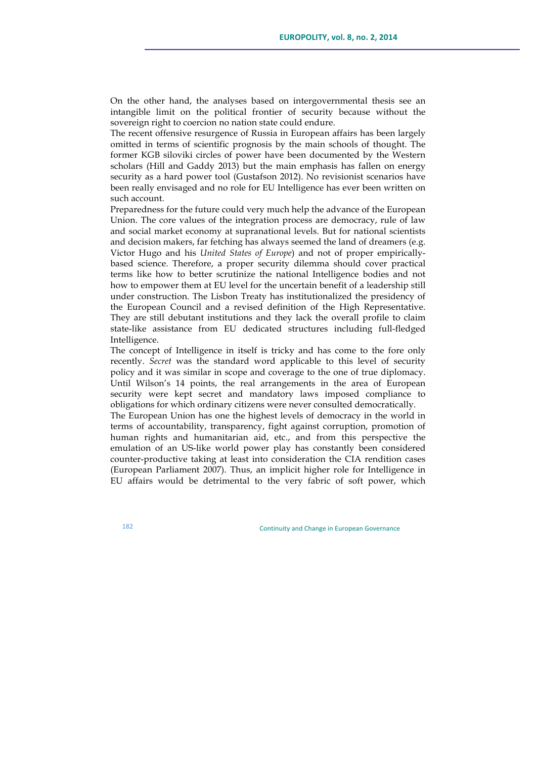On the other hand, the analyses based on intergovernmental thesis see an intangible limit on the political frontier of security because without the sovereign right to coercion no nation state could endure.

The recent offensive resurgence of Russia in European affairs has been largely omitted in terms of scientific prognosis by the main schools of thought. The former KGB siloviki circles of power have been documented by the Western scholars (Hill and Gaddy 2013) but the main emphasis has fallen on energy security as a hard power tool (Gustafson 2012). No revisionist scenarios have been really envisaged and no role for EU Intelligence has ever been written on such account.

Preparedness for the future could very much help the advance of the European Union. The core values of the integration process are democracy, rule of law and social market economy at supranational levels. But for national scientists and decision makers, far fetching has always seemed the land of dreamers (e.g. Victor Hugo and his *United States of Europe*) and not of proper empiricallybased science. Therefore, a proper security dilemma should cover practical terms like how to better scrutinize the national Intelligence bodies and not how to empower them at EU level for the uncertain benefit of a leadership still under construction. The Lisbon Treaty has institutionalized the presidency of the European Council and a revised definition of the High Representative. They are still debutant institutions and they lack the overall profile to claim state-like assistance from EU dedicated structures including full-fledged Intelligence.

The concept of Intelligence in itself is tricky and has come to the fore only recently. *Secret* was the standard word applicable to this level of security policy and it was similar in scope and coverage to the one of true diplomacy. Until Wilson's 14 points, the real arrangements in the area of European security were kept secret and mandatory laws imposed compliance to obligations for which ordinary citizens were never consulted democratically.

The European Union has one the highest levels of democracy in the world in terms of accountability, transparency, fight against corruption, promotion of human rights and humanitarian aid, etc., and from this perspective the emulation of an US-like world power play has constantly been considered counter-productive taking at least into consideration the CIA rendition cases (European Parliament 2007). Thus, an implicit higher role for Intelligence in EU affairs would be detrimental to the very fabric of soft power, which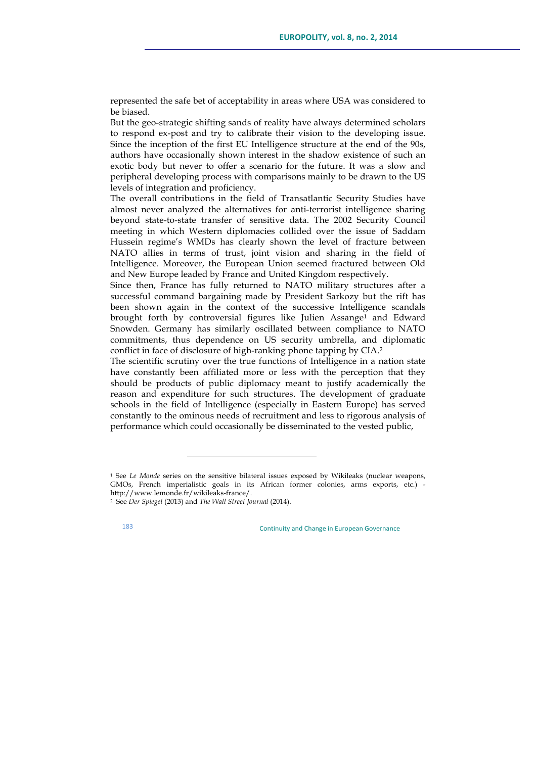represented the safe bet of acceptability in areas where USA was considered to be biased.

But the geo-strategic shifting sands of reality have always determined scholars to respond ex-post and try to calibrate their vision to the developing issue. Since the inception of the first EU Intelligence structure at the end of the 90s, authors have occasionally shown interest in the shadow existence of such an exotic body but never to offer a scenario for the future. It was a slow and peripheral developing process with comparisons mainly to be drawn to the US levels of integration and proficiency.

The overall contributions in the field of Transatlantic Security Studies have almost never analyzed the alternatives for anti-terrorist intelligence sharing beyond state-to-state transfer of sensitive data. The 2002 Security Council meeting in which Western diplomacies collided over the issue of Saddam Hussein regime's WMDs has clearly shown the level of fracture between NATO allies in terms of trust, joint vision and sharing in the field of Intelligence. Moreover, the European Union seemed fractured between Old and New Europe leaded by France and United Kingdom respectively.

Since then, France has fully returned to NATO military structures after a successful command bargaining made by President Sarkozy but the rift has been shown again in the context of the successive Intelligence scandals brought forth by controversial figures like Julien Assange<sup>1</sup> and Edward Snowden. Germany has similarly oscillated between compliance to NATO commitments, thus dependence on US security umbrella, and diplomatic conflict in face of disclosure of high-ranking phone tapping by CIA.2

The scientific scrutiny over the true functions of Intelligence in a nation state have constantly been affiliated more or less with the perception that they should be products of public diplomacy meant to justify academically the reason and expenditure for such structures. The development of graduate schools in the field of Intelligence (especially in Eastern Europe) has served constantly to the ominous needs of recruitment and less to rigorous analysis of performance which could occasionally be disseminated to the vested public,

<u> 1989 - Johann Stein, fransk politik (d. 1989)</u>

<sup>&</sup>lt;sup>1</sup> See *Le Monde* series on the sensitive bilateral issues exposed by Wikileaks (nuclear weapons, GMOs, French imperialistic goals in its African former colonies, arms exports, etc.) http://www.lemonde.fr/wikileaks-france/.

<sup>2</sup> See *Der Spiegel* (2013) and *The Wall Street Journal* (2014).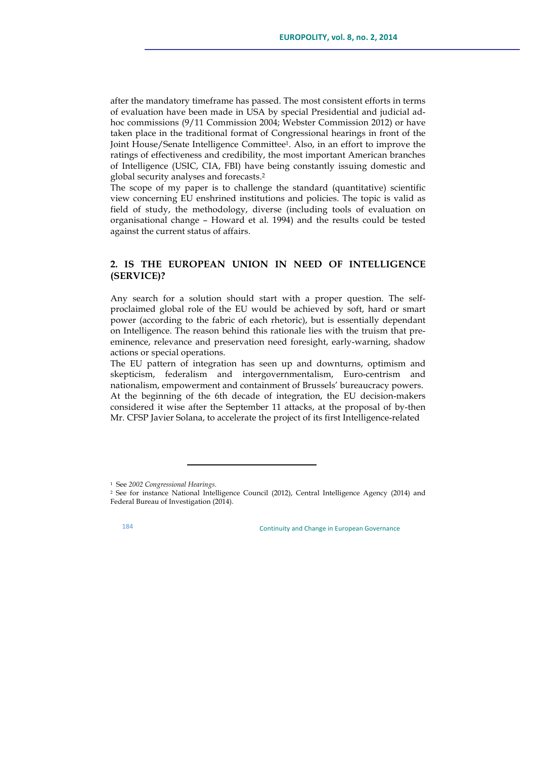after the mandatory timeframe has passed. The most consistent efforts in terms of evaluation have been made in USA by special Presidential and judicial adhoc commissions (9/11 Commission 2004; Webster Commission 2012) or have taken place in the traditional format of Congressional hearings in front of the Joint House/Senate Intelligence Committee1. Also, in an effort to improve the ratings of effectiveness and credibility, the most important American branches of Intelligence (USIC, CIA, FBI) have being constantly issuing domestic and global security analyses and forecasts.2

The scope of my paper is to challenge the standard (quantitative) scientific view concerning EU enshrined institutions and policies. The topic is valid as field of study, the methodology, diverse (including tools of evaluation on organisational change – Howard et al. 1994) and the results could be tested against the current status of affairs.

# **2. IS THE EUROPEAN UNION IN NEED OF INTELLIGENCE (SERVICE)?**

Any search for a solution should start with a proper question. The selfproclaimed global role of the EU would be achieved by soft, hard or smart power (according to the fabric of each rhetoric), but is essentially dependant on Intelligence. The reason behind this rationale lies with the truism that preeminence, relevance and preservation need foresight, early-warning, shadow actions or special operations.

The EU pattern of integration has seen up and downturns, optimism and skepticism, federalism and intergovernmentalism, Euro-centrism and nationalism, empowerment and containment of Brussels' bureaucracy powers. At the beginning of the 6th decade of integration, the EU decision-makers considered it wise after the September 11 attacks, at the proposal of by-then Mr. CFSP Javier Solana, to accelerate the project of its first Intelligence-related

<u> 1989 - Johann Stein, fransk politik (d. 1989)</u>

<sup>1</sup> See *2002 Congressional Hearings*.

<sup>&</sup>lt;sup>2</sup> See for instance National Intelligence Council (2012), Central Intelligence Agency (2014) and Federal Bureau of Investigation (2014).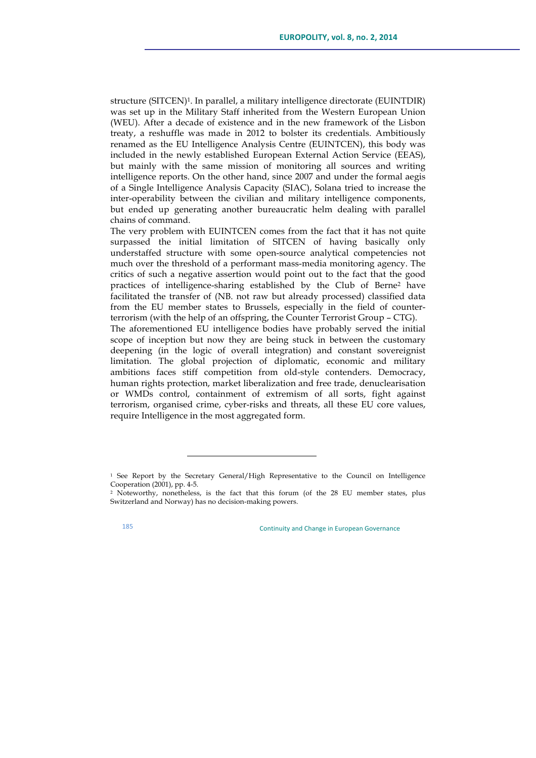structure (SITCEN)1. In parallel, a military intelligence directorate (EUINTDIR) was set up in the Military Staff inherited from the Western European Union (WEU). After a decade of existence and in the new framework of the Lisbon treaty, a reshuffle was made in 2012 to bolster its credentials. Ambitiously renamed as the EU Intelligence Analysis Centre (EUINTCEN), this body was included in the newly established European External Action Service (EEAS), but mainly with the same mission of monitoring all sources and writing intelligence reports. On the other hand, since 2007 and under the formal aegis of a Single Intelligence Analysis Capacity (SIAC), Solana tried to increase the inter-operability between the civilian and military intelligence components, but ended up generating another bureaucratic helm dealing with parallel chains of command.

The very problem with EUINTCEN comes from the fact that it has not quite surpassed the initial limitation of SITCEN of having basically only understaffed structure with some open-source analytical competencies not much over the threshold of a performant mass-media monitoring agency. The critics of such a negative assertion would point out to the fact that the good practices of intelligence-sharing established by the Club of Berne2 have facilitated the transfer of (NB. not raw but already processed) classified data from the EU member states to Brussels, especially in the field of counterterrorism (with the help of an offspring, the Counter Terrorist Group – CTG).

The aforementioned EU intelligence bodies have probably served the initial scope of inception but now they are being stuck in between the customary deepening (in the logic of overall integration) and constant sovereignist limitation. The global projection of diplomatic, economic and military ambitions faces stiff competition from old-style contenders. Democracy, human rights protection, market liberalization and free trade, denuclearisation or WMDs control, containment of extremism of all sorts, fight against terrorism, organised crime, cyber-risks and threats, all these EU core values, require Intelligence in the most aggregated form.

<u> 1989 - Johann Stein, fransk politik (d. 1989)</u>

<sup>1</sup> See Report by the Secretary General/High Representative to the Council on Intelligence Cooperation (2001), pp. 4-5.

<sup>2</sup> Noteworthy, nonetheless, is the fact that this forum (of the 28 EU member states, plus Switzerland and Norway) has no decision-making powers.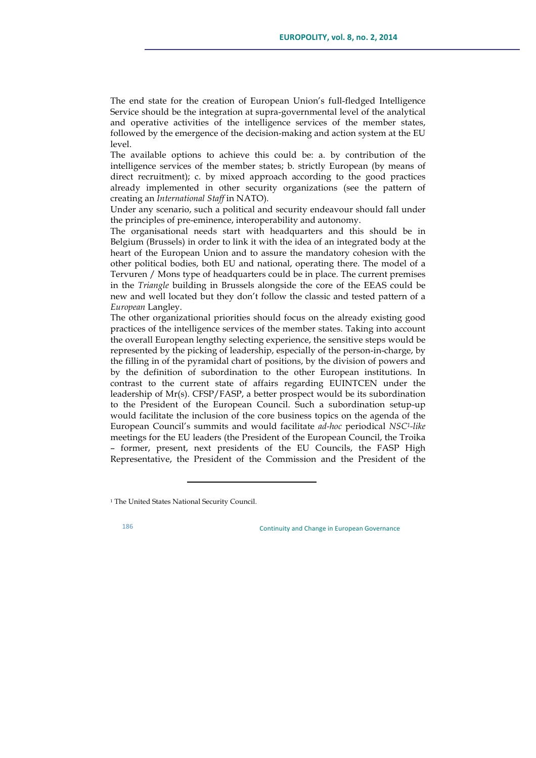The end state for the creation of European Union's full-fledged Intelligence Service should be the integration at supra-governmental level of the analytical and operative activities of the intelligence services of the member states, followed by the emergence of the decision-making and action system at the EU level.

The available options to achieve this could be: a. by contribution of the intelligence services of the member states; b. strictly European (by means of direct recruitment); c. by mixed approach according to the good practices already implemented in other security organizations (see the pattern of creating an *International Staff* in NATO).

Under any scenario, such a political and security endeavour should fall under the principles of pre-eminence, interoperability and autonomy.

The organisational needs start with headquarters and this should be in Belgium (Brussels) in order to link it with the idea of an integrated body at the heart of the European Union and to assure the mandatory cohesion with the other political bodies, both EU and national, operating there. The model of a Tervuren / Mons type of headquarters could be in place. The current premises in the *Triangle* building in Brussels alongside the core of the EEAS could be new and well located but they don't follow the classic and tested pattern of a *European* Langley.

The other organizational priorities should focus on the already existing good practices of the intelligence services of the member states. Taking into account the overall European lengthy selecting experience, the sensitive steps would be represented by the picking of leadership, especially of the person-in-charge, by the filling in of the pyramidal chart of positions, by the division of powers and by the definition of subordination to the other European institutions. In contrast to the current state of affairs regarding EUINTCEN under the leadership of Mr(s). CFSP/FASP, a better prospect would be its subordination to the President of the European Council. Such a subordination setup-up would facilitate the inclusion of the core business topics on the agenda of the European Council's summits and would facilitate *ad-hoc* periodical *NSC1-like* meetings for the EU leaders (the President of the European Council, the Troika – former, present, next presidents of the EU Councils, the FASP High Representative, the President of the Commission and the President of the

<u> 1989 - Johann Stein, fransk politik (d. 1989)</u>

<sup>&</sup>lt;sup>1</sup> The United States National Security Council.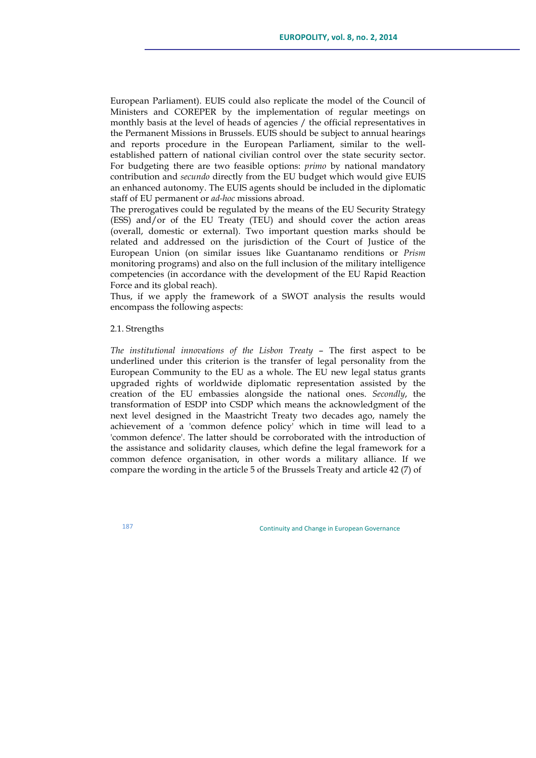European Parliament). EUIS could also replicate the model of the Council of Ministers and COREPER by the implementation of regular meetings on monthly basis at the level of heads of agencies / the official representatives in the Permanent Missions in Brussels. EUIS should be subject to annual hearings and reports procedure in the European Parliament, similar to the wellestablished pattern of national civilian control over the state security sector. For budgeting there are two feasible options: *primo* by national mandatory contribution and *secundo* directly from the EU budget which would give EUIS an enhanced autonomy. The EUIS agents should be included in the diplomatic staff of EU permanent or *ad-hoc* missions abroad.

The prerogatives could be regulated by the means of the EU Security Strategy (ESS) and/or of the EU Treaty (TEU) and should cover the action areas (overall, domestic or external). Two important question marks should be related and addressed on the jurisdiction of the Court of Justice of the European Union (on similar issues like Guantanamo renditions or *Prism* monitoring programs) and also on the full inclusion of the military intelligence competencies (in accordance with the development of the EU Rapid Reaction Force and its global reach).

Thus, if we apply the framework of a SWOT analysis the results would encompass the following aspects:

# 2.1. Strengths

*The institutional innovations of the Lisbon Treaty* – The first aspect to be underlined under this criterion is the transfer of legal personality from the European Community to the EU as a whole. The EU new legal status grants upgraded rights of worldwide diplomatic representation assisted by the creation of the EU embassies alongside the national ones. *Secondly*, the transformation of ESDP into CSDP which means the acknowledgment of the next level designed in the Maastricht Treaty two decades ago, namely the achievement of a 'common defence policy' which in time will lead to a 'common defence'. The latter should be corroborated with the introduction of the assistance and solidarity clauses, which define the legal framework for a common defence organisation, in other words a military alliance. If we compare the wording in the article 5 of the Brussels Treaty and article 42 (7) of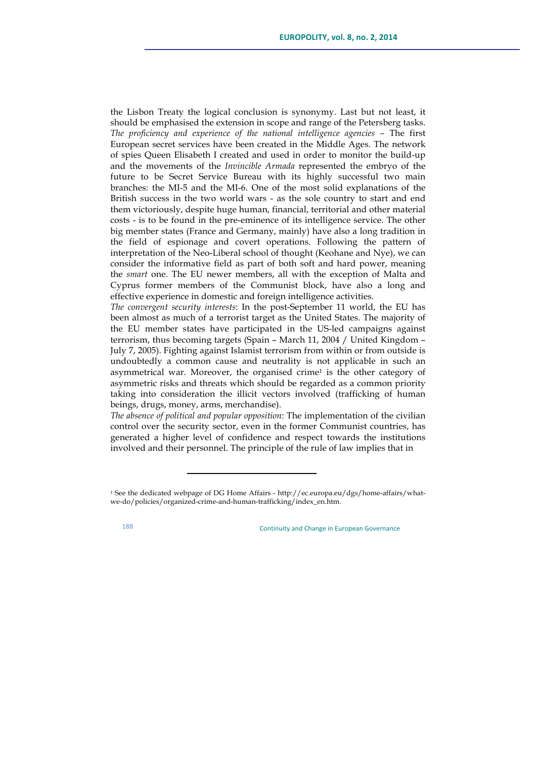the Lisbon Treaty the logical conclusion is synonymy. Last but not least, it should be emphasised the extension in scope and range of the Petersberg tasks. *The proficiency and experience of the national intelligence agencies –* The first European secret services have been created in the Middle Ages. The network of spies Queen Elisabeth I created and used in order to monitor the build-up and the movements of the *Invincible Armada* represented the embryo of the future to be Secret Service Bureau with its highly successful two main branches: the MI-5 and the MI-6. One of the most solid explanations of the British success in the two world wars - as the sole country to start and end them victoriously, despite huge human, financial, territorial and other material costs - is to be found in the pre-eminence of its intelligence service. The other big member states (France and Germany, mainly) have also a long tradition in the field of espionage and covert operations. Following the pattern of interpretation of the Neo-Liberal school of thought (Keohane and Nye), we can consider the informative field as part of both soft and hard power, meaning the *smart* one. The EU newer members, all with the exception of Malta and Cyprus former members of the Communist block, have also a long and effective experience in domestic and foreign intelligence activities.

*The convergent security interests*: In the post-September 11 world, the EU has been almost as much of a terrorist target as the United States. The majority of the EU member states have participated in the US-led campaigns against terrorism, thus becoming targets (Spain – March 11, 2004 / United Kingdom – July 7, 2005). Fighting against Islamist terrorism from within or from outside is undoubtedly a common cause and neutrality is not applicable in such an asymmetrical war. Moreover, the organised crime1 is the other category of asymmetric risks and threats which should be regarded as a common priority taking into consideration the illicit vectors involved (trafficking of human beings, drugs, money, arms, merchandise).

*The absence of political and popular opposition*: The implementation of the civilian control over the security sector, even in the former Communist countries, has generated a higher level of confidence and respect towards the institutions involved and their personnel. The principle of the rule of law implies that in

<u> 1989 - Johann Stein, fransk politik (d. 1989)</u>

<sup>1</sup> See the dedicated webpage of DG Home Affairs - http://ec.europa.eu/dgs/home-affairs/whatwe-do/policies/organized-crime-and-human-trafficking/index\_en.htm.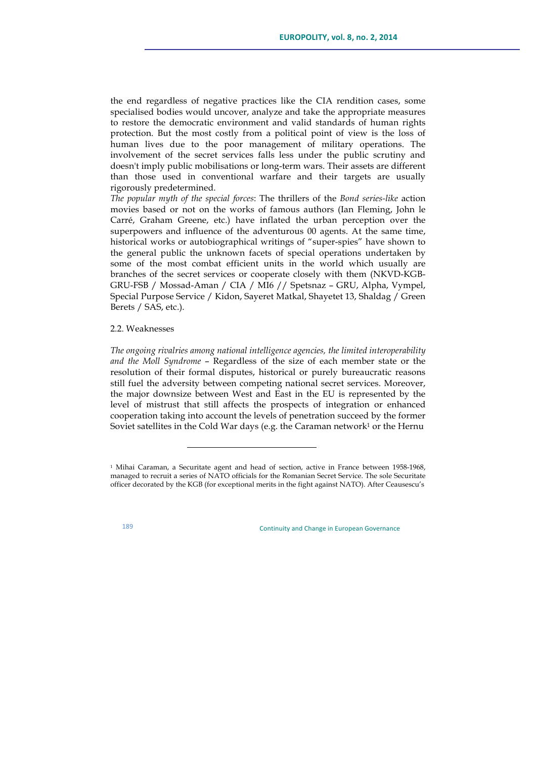the end regardless of negative practices like the CIA rendition cases, some specialised bodies would uncover, analyze and take the appropriate measures to restore the democratic environment and valid standards of human rights protection. But the most costly from a political point of view is the loss of human lives due to the poor management of military operations. The involvement of the secret services falls less under the public scrutiny and doesn't imply public mobilisations or long-term wars. Their assets are different than those used in conventional warfare and their targets are usually rigorously predetermined.

*The popular myth of the special forces*: The thrillers of the *Bond series-like* action movies based or not on the works of famous authors (Ian Fleming, John le Carré, Graham Greene, etc.) have inflated the urban perception over the superpowers and influence of the adventurous 00 agents. At the same time, historical works or autobiographical writings of "super-spies" have shown to the general public the unknown facets of special operations undertaken by some of the most combat efficient units in the world which usually are branches of the secret services or cooperate closely with them (NKVD-KGB-GRU-FSB / Mossad-Aman / CIA / MI6 // Spetsnaz – GRU, Alpha, Vympel, Special Purpose Service / Kidon, Sayeret Matkal, Shayetet 13, Shaldag / Green Berets / SAS, etc.).

## 2.2. Weaknesses

*The ongoing rivalries among national intelligence agencies, the limited interoperability and the Moll Syndrome* – Regardless of the size of each member state or the resolution of their formal disputes, historical or purely bureaucratic reasons still fuel the adversity between competing national secret services. Moreover, the major downsize between West and East in the EU is represented by the level of mistrust that still affects the prospects of integration or enhanced cooperation taking into account the levels of penetration succeed by the former Soviet satellites in the Cold War days (e.g. the Caraman network<sup>1</sup> or the Hernu

<u> 1989 - Johann Stein, fransk politik (d. 1989)</u>

<sup>1</sup> Mihai Caraman, a Securitate agent and head of section, active in France between 1958-1968, managed to recruit a series of NATO officials for the Romanian Secret Service. The sole Securitate officer decorated by the KGB (for exceptional merits in the fight against NATO). After Ceausescu's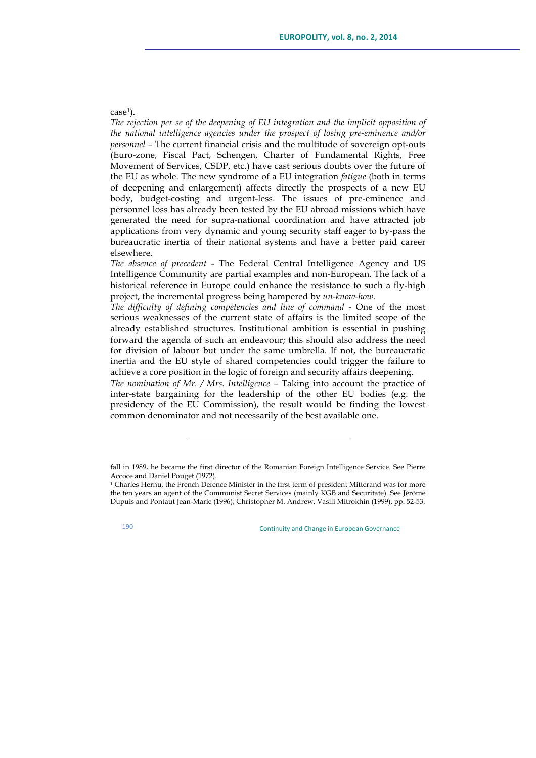## case<sup>1</sup>).

*The rejection per se of the deepening of EU integration and the implicit opposition of the national intelligence agencies under the prospect of losing pre-eminence and/or personnel –* The current financial crisis and the multitude of sovereign opt-outs (Euro-zone, Fiscal Pact, Schengen, Charter of Fundamental Rights, Free Movement of Services, CSDP, etc.) have cast serious doubts over the future of the EU as whole. The new syndrome of a EU integration *fatigue* (both in terms of deepening and enlargement) affects directly the prospects of a new EU body, budget-costing and urgent-less. The issues of pre-eminence and personnel loss has already been tested by the EU abroad missions which have generated the need for supra-national coordination and have attracted job applications from very dynamic and young security staff eager to by-pass the bureaucratic inertia of their national systems and have a better paid career elsewhere.

*The absence of precedent* - The Federal Central Intelligence Agency and US Intelligence Community are partial examples and non-European. The lack of a historical reference in Europe could enhance the resistance to such a fly-high project, the incremental progress being hampered by *un-know-how*.

*The difficulty of defining competencies and line of command* - One of the most serious weaknesses of the current state of affairs is the limited scope of the already established structures. Institutional ambition is essential in pushing forward the agenda of such an endeavour; this should also address the need for division of labour but under the same umbrella. If not, the bureaucratic inertia and the EU style of shared competencies could trigger the failure to achieve a core position in the logic of foreign and security affairs deepening.

*The nomination of Mr. / Mrs. Intelligence –* Taking into account the practice of inter-state bargaining for the leadership of the other EU bodies (e.g. the presidency of the EU Commission), the result would be finding the lowest common denominator and not necessarily of the best available one.

<u> 1989 - Johann Stein, fransk politiker (d. 1989)</u>

fall in 1989, he became the first director of the Romanian Foreign Intelligence Service. See Pierre Accoce and Daniel Pouget (1972).<br><sup>1</sup> Charles Hernu, the French Defence Minister in the first term of president Mitterand was for more

the ten years an agent of the Communist Secret Services (mainly KGB and Securitate). See Jérôme Dupuis and Pontaut Jean-Marie (1996); Christopher M. Andrew, Vasili Mitrokhin (1999), pp. 52-53.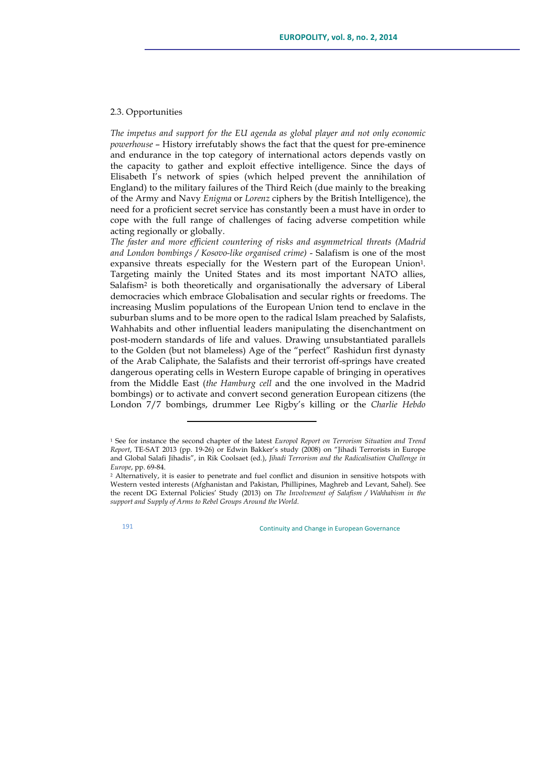### 2.3. Opportunities

*The impetus and support for the EU agenda as global player and not only economic powerhouse* – History irrefutably shows the fact that the quest for pre-eminence and endurance in the top category of international actors depends vastly on the capacity to gather and exploit effective intelligence. Since the days of Elisabeth I's network of spies (which helped prevent the annihilation of England) to the military failures of the Third Reich (due mainly to the breaking of the Army and Navy *Enigma* or *Lorenz* ciphers by the British Intelligence), the need for a proficient secret service has constantly been a must have in order to cope with the full range of challenges of facing adverse competition while acting regionally or globally.

*The faster and more efficient countering of risks and asymmetrical threats (Madrid and London bombings / Kosovo-like organised crime)* - Salafism is one of the most expansive threats especially for the Western part of the European Union1. Targeting mainly the United States and its most important NATO allies, Salafism2 is both theoretically and organisationally the adversary of Liberal democracies which embrace Globalisation and secular rights or freedoms. The increasing Muslim populations of the European Union tend to enclave in the suburban slums and to be more open to the radical Islam preached by Salafists, Wahhabits and other influential leaders manipulating the disenchantment on post-modern standards of life and values. Drawing unsubstantiated parallels to the Golden (but not blameless) Age of the "perfect" Rashidun first dynasty of the Arab Caliphate, the Salafists and their terrorist off-springs have created dangerous operating cells in Western Europe capable of bringing in operatives from the Middle East (*the Hamburg cell* and the one involved in the Madrid bombings) or to activate and convert second generation European citizens (the London 7/7 bombings, drummer Lee Rigby's killing or the *Charlie Hebdo*

<u> 1989 - Johann Stein, fransk politik (d. 1989)</u>

<sup>1</sup> See for instance the second chapter of the latest *Europol Report on Terrorism Situation and Trend Report*, TE-SAT 2013 (pp. 19-26) or Edwin Bakker's study (2008) on "Jihadi Terrorists in Europe and Global Salafi Jihadis", in Rik Coolsaet (ed.), *Jihadi Terrorism and the Radicalisation Challenge in Europe*, pp. 69-84.

<sup>2</sup> Alternatively, it is easier to penetrate and fuel conflict and disunion in sensitive hotspots with Western vested interests (Afghanistan and Pakistan, Phillipines, Maghreb and Levant, Sahel). See the recent DG External Policies' Study (2013) on *The Involvement of Salafism / Wahhabism in the support and Supply of Arms to Rebel Groups Around the World*.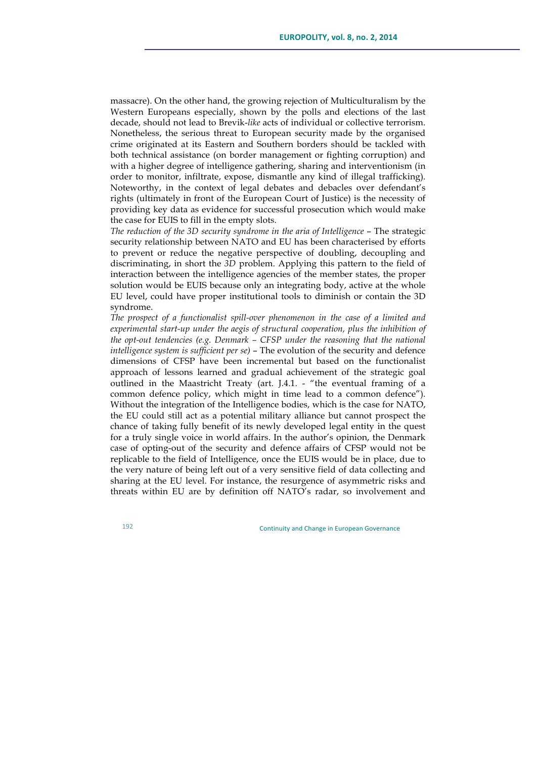massacre). On the other hand, the growing rejection of Multiculturalism by the Western Europeans especially, shown by the polls and elections of the last decade, should not lead to Brevik-*like* acts of individual or collective terrorism. Nonetheless, the serious threat to European security made by the organised crime originated at its Eastern and Southern borders should be tackled with both technical assistance (on border management or fighting corruption) and with a higher degree of intelligence gathering, sharing and interventionism (in order to monitor, infiltrate, expose, dismantle any kind of illegal trafficking). Noteworthy, in the context of legal debates and debacles over defendant's rights (ultimately in front of the European Court of Justice) is the necessity of providing key data as evidence for successful prosecution which would make the case for EUIS to fill in the empty slots.

*The reduction of the 3D security syndrome in the aria of Intelligence* – The strategic security relationship between NATO and EU has been characterised by efforts to prevent or reduce the negative perspective of doubling, decoupling and discriminating, in short the *3D* problem. Applying this pattern to the field of interaction between the intelligence agencies of the member states, the proper solution would be EUIS because only an integrating body, active at the whole EU level, could have proper institutional tools to diminish or contain the 3D syndrome.

*The prospect of a functionalist spill-over phenomenon in the case of a limited and experimental start-up under the aegis of structural cooperation, plus the inhibition of the opt-out tendencies (e.g. Denmark – CFSP under the reasoning that the national intelligence system is sufficient per se)* – The evolution of the security and defence dimensions of CFSP have been incremental but based on the functionalist approach of lessons learned and gradual achievement of the strategic goal outlined in the Maastricht Treaty (art. J.4.1. - "the eventual framing of a common defence policy, which might in time lead to a common defence"). Without the integration of the Intelligence bodies, which is the case for NATO, the EU could still act as a potential military alliance but cannot prospect the chance of taking fully benefit of its newly developed legal entity in the quest for a truly single voice in world affairs. In the author's opinion, the Denmark case of opting-out of the security and defence affairs of CFSP would not be replicable to the field of Intelligence, once the EUIS would be in place, due to the very nature of being left out of a very sensitive field of data collecting and sharing at the EU level. For instance, the resurgence of asymmetric risks and threats within EU are by definition off NATO's radar, so involvement and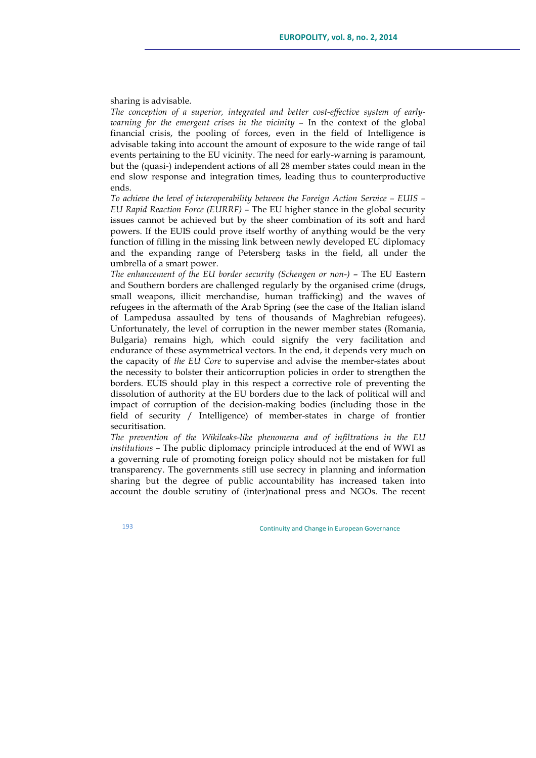sharing is advisable.

*The conception of a superior, integrated and better cost-effective system of earlywarning for the emergent crises in the vicinity* – In the context of the global financial crisis, the pooling of forces, even in the field of Intelligence is advisable taking into account the amount of exposure to the wide range of tail events pertaining to the EU vicinity. The need for early-warning is paramount, but the (quasi-) independent actions of all 28 member states could mean in the end slow response and integration times, leading thus to counterproductive ends.

*To achieve the level of interoperability between the Foreign Action Service – EUIS – EU Rapid Reaction Force (EURRF)* – The EU higher stance in the global security issues cannot be achieved but by the sheer combination of its soft and hard powers. If the EUIS could prove itself worthy of anything would be the very function of filling in the missing link between newly developed EU diplomacy and the expanding range of Petersberg tasks in the field, all under the umbrella of a smart power.

*The enhancement of the EU border security (Schengen or non-)* - The EU Eastern and Southern borders are challenged regularly by the organised crime (drugs, small weapons, illicit merchandise, human trafficking) and the waves of refugees in the aftermath of the Arab Spring (see the case of the Italian island of Lampedusa assaulted by tens of thousands of Maghrebian refugees). Unfortunately, the level of corruption in the newer member states (Romania, Bulgaria) remains high, which could signify the very facilitation and endurance of these asymmetrical vectors. In the end, it depends very much on the capacity of *the EU Core* to supervise and advise the member-states about the necessity to bolster their anticorruption policies in order to strengthen the borders. EUIS should play in this respect a corrective role of preventing the dissolution of authority at the EU borders due to the lack of political will and impact of corruption of the decision-making bodies (including those in the field of security / Intelligence) of member-states in charge of frontier securitisation.

*The prevention of the Wikileaks-like phenomena and of infiltrations in the EU institutions* – The public diplomacy principle introduced at the end of WWI as a governing rule of promoting foreign policy should not be mistaken for full transparency. The governments still use secrecy in planning and information sharing but the degree of public accountability has increased taken into account the double scrutiny of (inter)national press and NGOs. The recent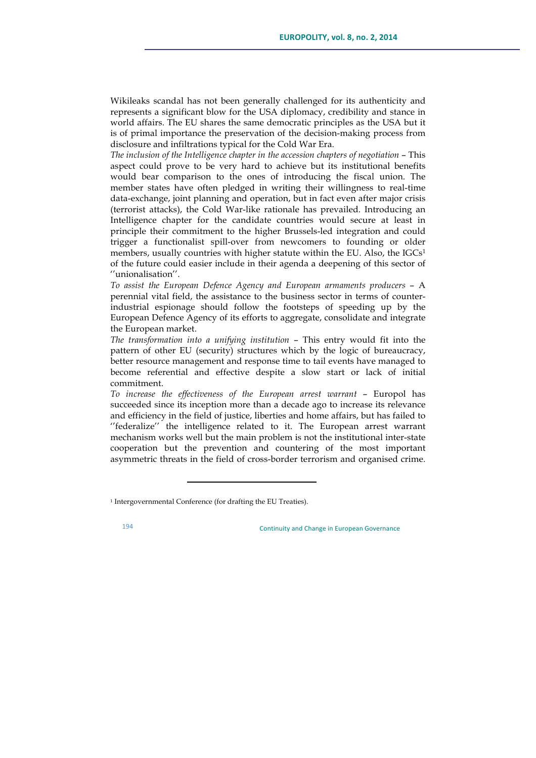Wikileaks scandal has not been generally challenged for its authenticity and represents a significant blow for the USA diplomacy, credibility and stance in world affairs. The EU shares the same democratic principles as the USA but it is of primal importance the preservation of the decision-making process from disclosure and infiltrations typical for the Cold War Era.

*The inclusion of the Intelligence chapter in the accession chapters of negotiation* – This aspect could prove to be very hard to achieve but its institutional benefits would bear comparison to the ones of introducing the fiscal union. The member states have often pledged in writing their willingness to real-time data-exchange, joint planning and operation, but in fact even after major crisis (terrorist attacks), the Cold War-like rationale has prevailed. Introducing an Intelligence chapter for the candidate countries would secure at least in principle their commitment to the higher Brussels-led integration and could trigger a functionalist spill-over from newcomers to founding or older members, usually countries with higher statute within the EU. Also, the IGCs<sup>1</sup> of the future could easier include in their agenda a deepening of this sector of ''unionalisation''.

*To assist the European Defence Agency and European armaments producers* – A perennial vital field, the assistance to the business sector in terms of counterindustrial espionage should follow the footsteps of speeding up by the European Defence Agency of its efforts to aggregate, consolidate and integrate the European market.

*The transformation into a unifying institution* – This entry would fit into the pattern of other EU (security) structures which by the logic of bureaucracy, better resource management and response time to tail events have managed to become referential and effective despite a slow start or lack of initial commitment.

*To increase the effectiveness of the European arrest warrant* – Europol has succeeded since its inception more than a decade ago to increase its relevance and efficiency in the field of justice, liberties and home affairs, but has failed to ''federalize'' the intelligence related to it. The European arrest warrant mechanism works well but the main problem is not the institutional inter-state cooperation but the prevention and countering of the most important asymmetric threats in the field of cross-border terrorism and organised crime.

<u> 1989 - Johann Stein, fransk politik (d. 1989)</u>

<sup>&</sup>lt;sup>1</sup> Intergovernmental Conference (for drafting the EU Treaties).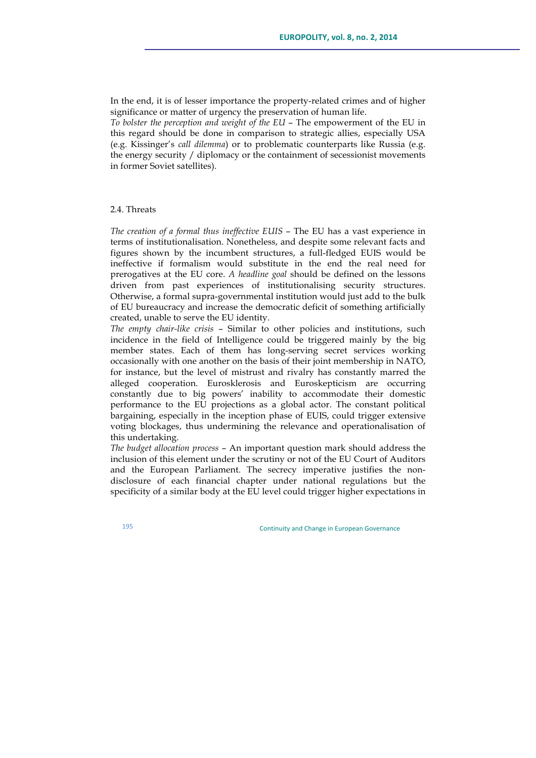In the end, it is of lesser importance the property-related crimes and of higher significance or matter of urgency the preservation of human life.

*To bolster the perception and weight of the EU* – The empowerment of the EU in this regard should be done in comparison to strategic allies, especially USA (e.g. Kissinger's *call dilemma*) or to problematic counterparts like Russia (e.g. the energy security / diplomacy or the containment of secessionist movements in former Soviet satellites).

### 2.4. Threats

*The creation of a formal thus ineffective EUIS* – The EU has a vast experience in terms of institutionalisation. Nonetheless, and despite some relevant facts and figures shown by the incumbent structures, a full-fledged EUIS would be ineffective if formalism would substitute in the end the real need for prerogatives at the EU core. *A headline goal* should be defined on the lessons driven from past experiences of institutionalising security structures. Otherwise, a formal supra-governmental institution would just add to the bulk of EU bureaucracy and increase the democratic deficit of something artificially created, unable to serve the EU identity.

*The empty chair-like crisis* – Similar to other policies and institutions, such incidence in the field of Intelligence could be triggered mainly by the big member states. Each of them has long-serving secret services working occasionally with one another on the basis of their joint membership in NATO, for instance, but the level of mistrust and rivalry has constantly marred the alleged cooperation. Eurosklerosis and Euroskepticism are occurring constantly due to big powers' inability to accommodate their domestic performance to the EU projections as a global actor. The constant political bargaining, especially in the inception phase of EUIS, could trigger extensive voting blockages, thus undermining the relevance and operationalisation of this undertaking.

*The budget allocation process* – An important question mark should address the inclusion of this element under the scrutiny or not of the EU Court of Auditors and the European Parliament. The secrecy imperative justifies the nondisclosure of each financial chapter under national regulations but the specificity of a similar body at the EU level could trigger higher expectations in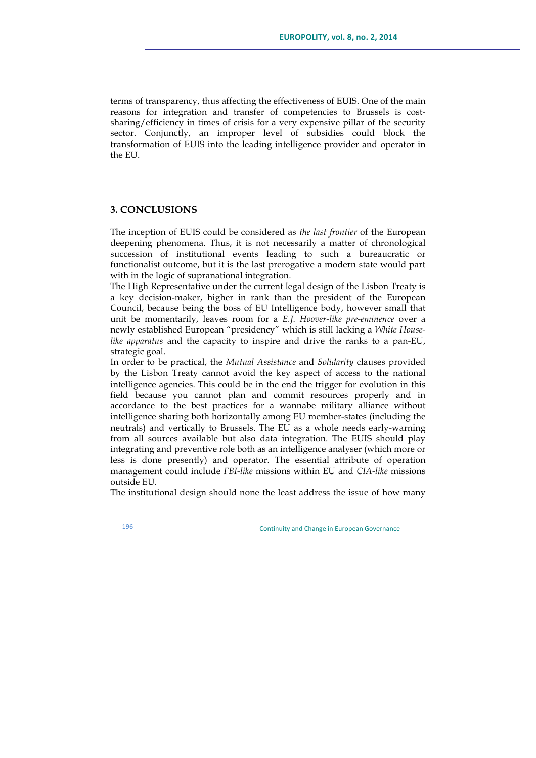terms of transparency, thus affecting the effectiveness of EUIS. One of the main reasons for integration and transfer of competencies to Brussels is costsharing/efficiency in times of crisis for a very expensive pillar of the security sector. Conjunctly, an improper level of subsidies could block the transformation of EUIS into the leading intelligence provider and operator in the EU.

### **3. CONCLUSIONS**

The inception of EUIS could be considered as *the last frontier* of the European deepening phenomena. Thus, it is not necessarily a matter of chronological succession of institutional events leading to such a bureaucratic or functionalist outcome, but it is the last prerogative a modern state would part with in the logic of supranational integration.

The High Representative under the current legal design of the Lisbon Treaty is a key decision-maker, higher in rank than the president of the European Council, because being the boss of EU Intelligence body, however small that unit be momentarily, leaves room for a *E.J. Hoover-like pre-eminence* over a newly established European "presidency" which is still lacking a *White Houselike apparatus* and the capacity to inspire and drive the ranks to a pan-EU, strategic goal.

In order to be practical, the *Mutual Assistance* and *Solidarity* clauses provided by the Lisbon Treaty cannot avoid the key aspect of access to the national intelligence agencies. This could be in the end the trigger for evolution in this field because you cannot plan and commit resources properly and in accordance to the best practices for a wannabe military alliance without intelligence sharing both horizontally among EU member-states (including the neutrals) and vertically to Brussels. The EU as a whole needs early-warning from all sources available but also data integration. The EUIS should play integrating and preventive role both as an intelligence analyser (which more or less is done presently) and operator. The essential attribute of operation management could include *FBI-like* missions within EU and *CIA-like* missions outside EU.

The institutional design should none the least address the issue of how many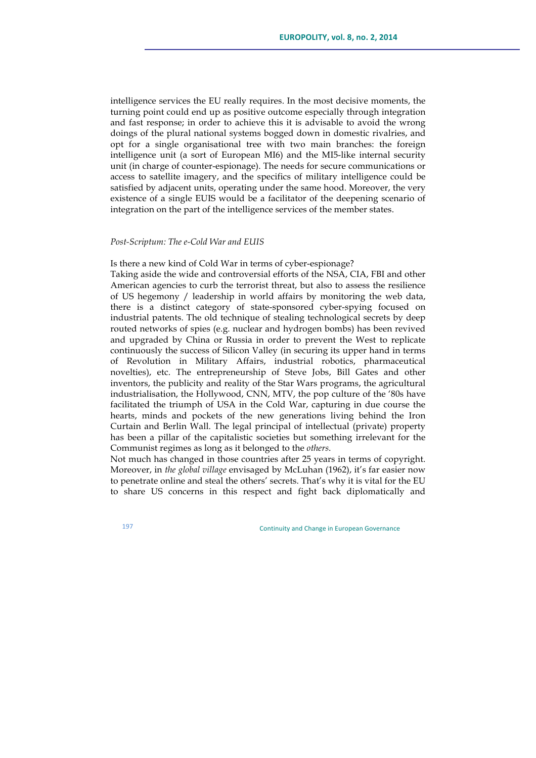intelligence services the EU really requires. In the most decisive moments, the turning point could end up as positive outcome especially through integration and fast response; in order to achieve this it is advisable to avoid the wrong doings of the plural national systems bogged down in domestic rivalries, and opt for a single organisational tree with two main branches: the foreign intelligence unit (a sort of European MI6) and the MI5-like internal security unit (in charge of counter-espionage). The needs for secure communications or access to satellite imagery, and the specifics of military intelligence could be satisfied by adjacent units, operating under the same hood. Moreover, the very existence of a single EUIS would be a facilitator of the deepening scenario of integration on the part of the intelligence services of the member states.

### *Post-Scriptum: The e-Cold War and EUIS*

Is there a new kind of Cold War in terms of cyber-espionage?

Taking aside the wide and controversial efforts of the NSA, CIA, FBI and other American agencies to curb the terrorist threat, but also to assess the resilience of US hegemony / leadership in world affairs by monitoring the web data, there is a distinct category of state-sponsored cyber-spying focused on industrial patents. The old technique of stealing technological secrets by deep routed networks of spies (e.g. nuclear and hydrogen bombs) has been revived and upgraded by China or Russia in order to prevent the West to replicate continuously the success of Silicon Valley (in securing its upper hand in terms of Revolution in Military Affairs, industrial robotics, pharmaceutical novelties), etc. The entrepreneurship of Steve Jobs, Bill Gates and other inventors, the publicity and reality of the Star Wars programs, the agricultural industrialisation, the Hollywood, CNN, MTV, the pop culture of the '80s have facilitated the triumph of USA in the Cold War, capturing in due course the hearts, minds and pockets of the new generations living behind the Iron Curtain and Berlin Wall. The legal principal of intellectual (private) property has been a pillar of the capitalistic societies but something irrelevant for the Communist regimes as long as it belonged to the *others*.

Not much has changed in those countries after 25 years in terms of copyright. Moreover, in *the global village* envisaged by McLuhan (1962), it's far easier now to penetrate online and steal the others' secrets. That's why it is vital for the EU to share US concerns in this respect and fight back diplomatically and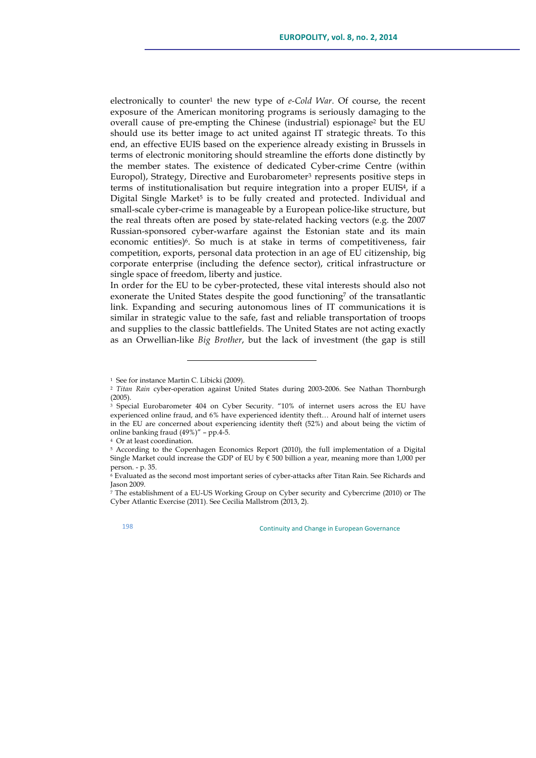electronically to counter1 the new type of *e-Cold War*. Of course, the recent exposure of the American monitoring programs is seriously damaging to the overall cause of pre-empting the Chinese (industrial) espionage<sup>2</sup> but the EU should use its better image to act united against IT strategic threats. To this end, an effective EUIS based on the experience already existing in Brussels in terms of electronic monitoring should streamline the efforts done distinctly by the member states. The existence of dedicated Cyber-crime Centre (within Europol), Strategy, Directive and Eurobarometer<sup>3</sup> represents positive steps in terms of institutionalisation but require integration into a proper EUIS4, if a Digital Single Market<sup>5</sup> is to be fully created and protected. Individual and small-scale cyber-crime is manageable by a European police-like structure, but the real threats often are posed by state-related hacking vectors (e.g. the 2007 Russian-sponsored cyber-warfare against the Estonian state and its main economic entities) $6$ . So much is at stake in terms of competitiveness, fair competition, exports, personal data protection in an age of EU citizenship, big corporate enterprise (including the defence sector), critical infrastructure or single space of freedom, liberty and justice.

In order for the EU to be cyber-protected, these vital interests should also not exonerate the United States despite the good functioning<sup>7</sup> of the transatlantic link. Expanding and securing autonomous lines of IT communications it is similar in strategic value to the safe, fast and reliable transportation of troops and supplies to the classic battlefields. The United States are not acting exactly as an Orwellian-like *Big Brother*, but the lack of investment (the gap is still

<u> 1989 - Johann Stein, fransk politik (d. 1989)</u>

<sup>&</sup>lt;sup>1</sup> See for instance Martin C. Libicki (2009).

<sup>2</sup> *Titan Rain* cyber-operation against United States during 2003-2006. See Nathan Thornburgh (2005).

<sup>&</sup>lt;sup>3</sup> Special Eurobarometer 404 on Cyber Security. "10% of internet users across the EU have experienced online fraud, and 6% have experienced identity theft... Around half of internet users in the EU are concerned about experiencing identity theft (52%) and about being the victim of online banking fraud (49%)" – pp.4-5. 4 Or at least coordination.

<sup>5</sup> According to the Copenhagen Economics Report (2010), the full implementation of a Digital Single Market could increase the GDP of EU by  $\epsilon$  500 billion a year, meaning more than 1,000 per person. - p. 35.

 $6$  Evaluated as the second most important series of cyber-attacks after Titan Rain. See Richards and Jason 2009.

 $\frac{7}{7}$  The establishment of a EU-US Working Group on Cyber security and Cybercrime (2010) or The Cyber Atlantic Exercise (2011). See Cecilia Mallstrom (2013, 2).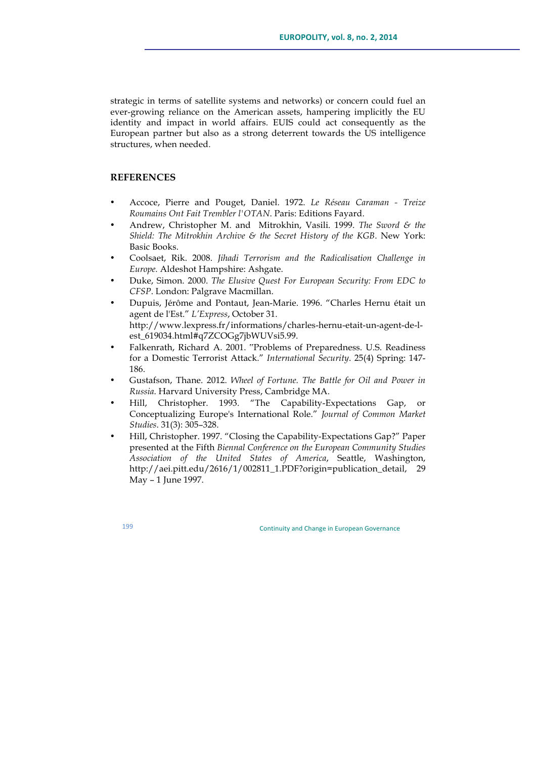strategic in terms of satellite systems and networks) or concern could fuel an ever-growing reliance on the American assets, hampering implicitly the EU identity and impact in world affairs. EUIS could act consequently as the European partner but also as a strong deterrent towards the US intelligence structures, when needed.

# **REFERENCES**

- Accoce, Pierre and Pouget, Daniel. 1972. *Le Réseau Caraman - Treize Roumains Ont Fait Trembler l'OTAN*. Paris: Editions Fayard.
- Andrew, Christopher M. and Mitrokhin, Vasili. 1999. *The Sword & the Shield: The Mitrokhin Archive & the Secret History of the KGB*. New York: Basic Books.
- Coolsaet, Rik. 2008. *Jihadi Terrorism and the Radicalisation Challenge in Europe.* Aldeshot Hampshire: Ashgate.
- Duke, Simon. 2000. *The Elusive Quest For European Security: From EDC to CFSP*. London: Palgrave Macmillan.
- Dupuis, Jérôme and Pontaut, Jean-Marie. 1996. "Charles Hernu était un agent de l'Est." *L'Express*, October 31. http://www.lexpress.fr/informations/charles-hernu-etait-un-agent-de-lest\_619034.html#q7ZCOGg7jbWUVsi5.99.
- Falkenrath, Richard A. 2001. "Problems of Preparedness. U.S. Readiness for a Domestic Terrorist Attack." *International Security*. 25(4) Spring: 147- 186.
- Gustafson, Thane. 2012. *Wheel of Fortune. The Battle for Oil and Power in Russia*. Harvard University Press, Cambridge MA.
- Hill, Christopher. 1993. "The Capability-Expectations Gap, or Conceptualizing Europe's International Role." *Journal of Common Market Studies*. 31(3): 305–328.
- Hill, Christopher. 1997. "Closing the Capability-Expectations Gap?" Paper presented at the Fifth *Biennal Conference on the European Community Studies Association of the United States of America*, Seattle, Washington, http://aei.pitt.edu/2616/1/002811\_1.PDF?origin=publication\_detail, 29 May – 1 June 1997.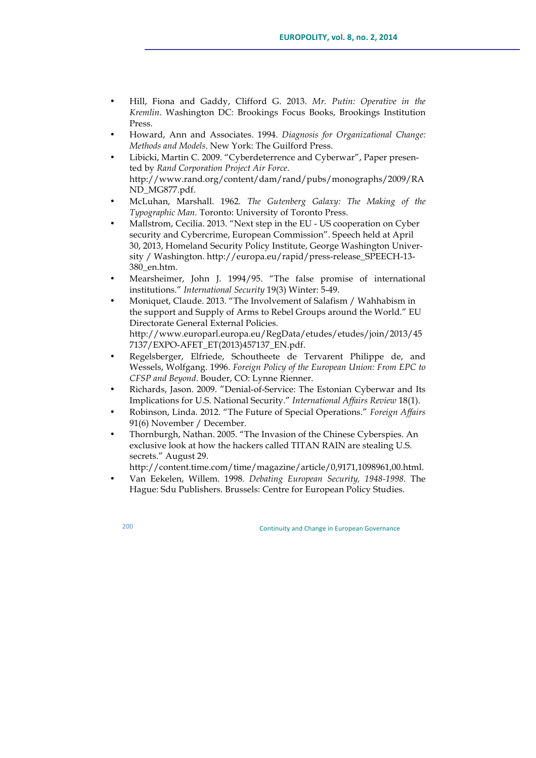- Hill, Fiona and Gaddy, Clifford G. 2013. *Mr. Putin: Operative in the Kremlin*. Washington DC: Brookings Focus Books, Brookings Institution Press.
- Howard, Ann and Associates. 1994. *Diagnosis for Organizational Change: Methods and Models*. New York: The Guilford Press.
- Libicki, Martin C. 2009. "Cyberdeterrence and Cyberwar", Paper presented by *Rand Corporation Project Air Force*. http://www.rand.org/content/dam/rand/pubs/monographs/2009/RA ND\_MG877.pdf.
- McLuhan, Marshall. 1962. *The Gutenberg Galaxy: The Making of the Typographic Man.* Toronto: University of Toronto Press.
- Mallstrom, Cecilia. 2013. "Next step in the EU US cooperation on Cyber security and Cybercrime, European Commission". Speech held at April 30, 2013, Homeland Security Policy Institute, George Washington University / Washington. http://europa.eu/rapid/press-release\_SPEECH-13- 380\_en.htm.
- Mearsheimer, John J. 1994/95. "The false promise of international institutions." *International Security* 19(3) Winter: 5-49.
- Moniquet, Claude. 2013. "The Involvement of Salafism / Wahhabism in the support and Supply of Arms to Rebel Groups around the World." EU Directorate General External Policies. http://www.europarl.europa.eu/RegData/etudes/etudes/join/2013/45 7137/EXPO-AFET\_ET(2013)457137\_EN.pdf.
- Regelsberger, Elfriede, Schoutheete de Tervarent Philippe de, and Wessels, Wolfgang. 1996. *Foreign Policy of the European Union: From EPC to CFSP and Beyond*. Bouder, CO: Lynne Rienner.
- Richards, Jason. 2009. "Denial-of-Service: The Estonian Cyberwar and Its Implications for U.S. National Security." *International Affairs Review* 18(1).
- Robinson, Linda. 2012. "The Future of Special Operations." *Foreign Affairs* 91(6) November / December.
- Thornburgh, Nathan. 2005. "The Invasion of the Chinese Cyberspies. An exclusive look at how the hackers called TITAN RAIN are stealing U.S. secrets." August 29.

http://content.time.com/time/magazine/article/0,9171,1098961,00.html.

• Van Eekelen, Willem. 1998. *Debating European Security, 1948-1998.* The Hague: Sdu Publishers. Brussels: Centre for European Policy Studies.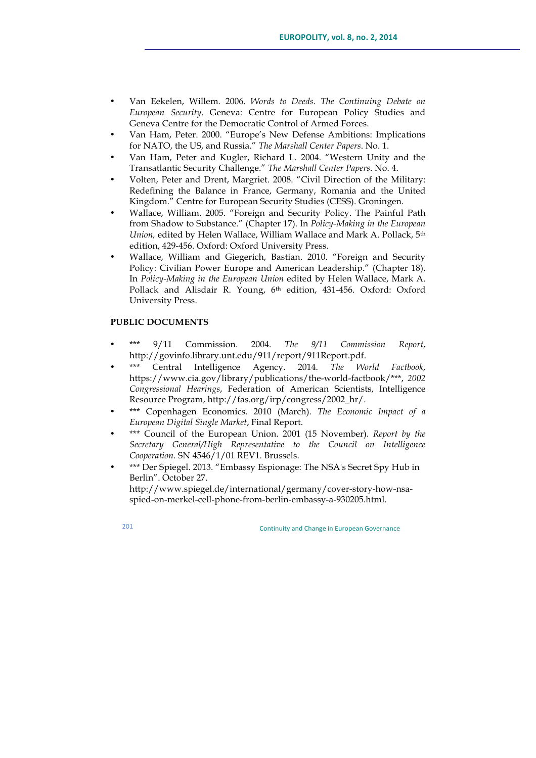- Van Eekelen, Willem. 2006. *Words to Deeds. The Continuing Debate on European Security*. Geneva: Centre for European Policy Studies and Geneva Centre for the Democratic Control of Armed Forces.
- Van Ham, Peter. 2000. "Europe's New Defense Ambitions: Implications for NATO, the US, and Russia." *The Marshall Center Papers*. No. 1.
- Van Ham, Peter and Kugler, Richard L. 2004. "Western Unity and the Transatlantic Security Challenge." *The Marshall Center Papers*. No. 4.
- Volten, Peter and Drent, Margriet. 2008. "Civil Direction of the Military: Redefining the Balance in France, Germany, Romania and the United Kingdom." Centre for European Security Studies (CESS). Groningen.
- Wallace, William. 2005. "Foreign and Security Policy. The Painful Path from Shadow to Substance." (Chapter 17). In *Policy-Making in the European Union,* edited by Helen Wallace, William Wallace and Mark A. Pollack, 5th edition, 429-456. Oxford: Oxford University Press.
- Wallace, William and Giegerich, Bastian. 2010. "Foreign and Security Policy: Civilian Power Europe and American Leadership." (Chapter 18). In *Policy-Making in the European Union* edited by Helen Wallace, Mark A. Pollack and Alisdair R. Young, 6th edition, 431-456. Oxford: Oxford University Press.

# **PUBLIC DOCUMENTS**

- \*\*\* 9/11 Commission. 2004. *The 9/11 Commission Report*, http://govinfo.library.unt.edu/911/report/911Report.pdf.
- Central Intelligence Agency. 2014. *The World Factbook*, https://www.cia.gov/library/publications/the-world-factbook/\*\*\*, *2002 Congressional Hearings*, Federation of American Scientists, Intelligence Resource Program, http://fas.org/irp/congress/2002\_hr/.
- \*\*\* Copenhagen Economics. 2010 (March). *The Economic Impact of a European Digital Single Market*, Final Report.
- \*\*\* Council of the European Union. 2001 (15 November). *Report by the Secretary General/High Representative to the Council on Intelligence Cooperation*. SN 4546/1/01 REV1. Brussels.
- \*\*\* Der Spiegel. 2013. "Embassy Espionage: The NSA's Secret Spy Hub in Berlin". October 27. http://www.spiegel.de/international/germany/cover-story-how-nsaspied-on-merkel-cell-phone-from-berlin-embassy-a-930205.html.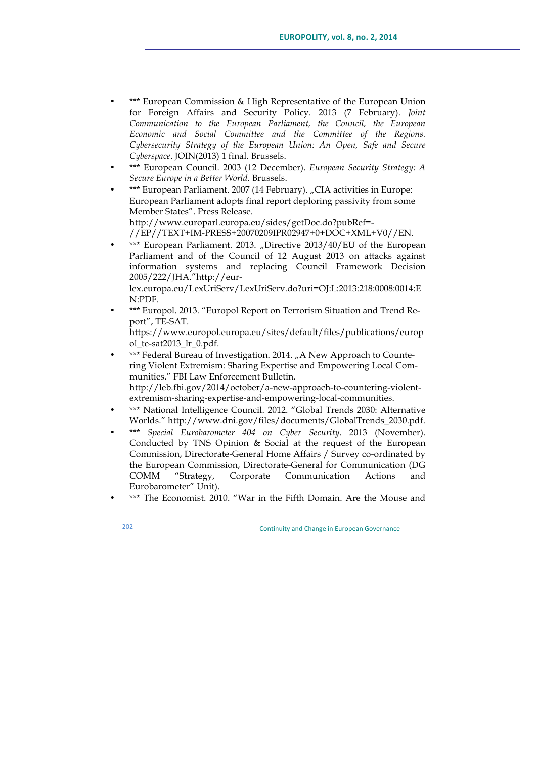- \*\*\* European Commission & High Representative of the European Union for Foreign Affairs and Security Policy. 2013 (7 February). *Joint Communication to the European Parliament, the Council, the European Economic and Social Committee and the Committee of the Regions. Cybersecurity Strategy of the European Union: An Open, Safe and Secure Cyberspace*. JOIN(2013) 1 final. Brussels.
- \*\*\* European Council. 2003 (12 December). *European Security Strategy: A Secure Europe in a Better World*. Brussels.
- \*\*\* European Parliament. 2007 (14 February). "CIA activities in Europe: European Parliament adopts final report deploring passivity from some Member States". Press Release. http://www.europarl.europa.eu/sides/getDoc.do?pubRef=-

//EP//TEXT+IM-PRESS+20070209IPR02947+0+DOC+XML+V0//EN.

\*\*\* European Parliament. 2013. "Directive 2013/40/EU of the European Parliament and of the Council of 12 August 2013 on attacks against information systems and replacing Council Framework Decision 2005/222/JHA."http://eurlex.europa.eu/LexUriServ/LexUriServ.do?uri=OJ:L:2013:218:0008:0014:E

N:PDF.

• \*\*\* Europol. 2013. "Europol Report on Terrorism Situation and Trend Report", TE-SAT.

https://www.europol.europa.eu/sites/default/files/publications/europ ol\_te-sat2013\_lr\_0.pdf.

- \*\*\* Federal Bureau of Investigation. 2014. "A New Approach to Countering Violent Extremism: Sharing Expertise and Empowering Local Communities." FBI Law Enforcement Bulletin. http://leb.fbi.gov/2014/october/a-new-approach-to-countering-violentextremism-sharing-expertise-and-empowering-local-communities.
- \*\*\* National Intelligence Council. 2012. "Global Trends 2030: Alternative Worlds." http://www.dni.gov/files/documents/GlobalTrends\_2030.pdf.
- \*\*\* *Special Eurobarometer 404 on Cyber Security*. 2013 (November). Conducted by TNS Opinion & Social at the request of the European Commission, Directorate-General Home Affairs / Survey co-ordinated by the European Commission, Directorate-General for Communication (DG COMM "Strategy, Corporate Communication Actions and Eurobarometer" Unit).
- \*\*\* The Economist. 2010. "War in the Fifth Domain. Are the Mouse and